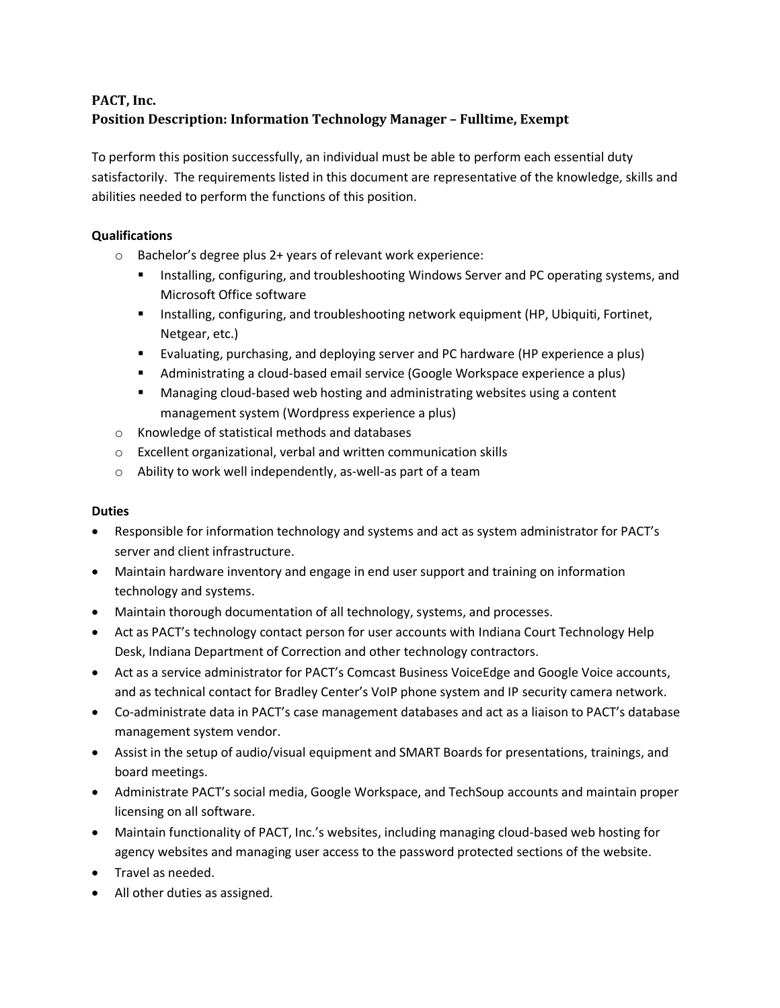## **PACT, Inc. Position Description: Information Technology Manager – Fulltime, Exempt**

To perform this position successfully, an individual must be able to perform each essential duty satisfactorily. The requirements listed in this document are representative of the knowledge, skills and abilities needed to perform the functions of this position.

## **Qualifications**

- o Bachelor's degree plus 2+ years of relevant work experience:
	- **Installing, configuring, and troubleshooting Windows Server and PC operating systems, and I** Microsoft Office software
	- **Installing, configuring, and troubleshooting network equipment (HP, Ubiquiti, Fortinet,** Netgear, etc.)
	- Evaluating, purchasing, and deploying server and PC hardware (HP experience a plus)
	- Administrating a cloud-based email service (Google Workspace experience a plus)
	- Managing cloud-based web hosting and administrating websites using a content management system (Wordpress experience a plus)
- o Knowledge of statistical methods and databases
- o Excellent organizational, verbal and written communication skills
- o Ability to work well independently, as-well-as part of a team

## **Duties**

- Responsible for information technology and systems and act as system administrator for PACT's server and client infrastructure.
- Maintain hardware inventory and engage in end user support and training on information technology and systems.
- Maintain thorough documentation of all technology, systems, and processes.
- Act as PACT's technology contact person for user accounts with Indiana Court Technology Help Desk, Indiana Department of Correction and other technology contractors.
- Act as a service administrator for PACT's Comcast Business VoiceEdge and Google Voice accounts, and as technical contact for Bradley Center's VoIP phone system and IP security camera network.
- Co-administrate data in PACT's case management databases and act as a liaison to PACT's database management system vendor.
- Assist in the setup of audio/visual equipment and SMART Boards for presentations, trainings, and board meetings.
- Administrate PACT's social media, Google Workspace, and TechSoup accounts and maintain proper licensing on all software.
- Maintain functionality of PACT, Inc.'s websites, including managing cloud-based web hosting for agency websites and managing user access to the password protected sections of the website.
- Travel as needed.
- All other duties as assigned.